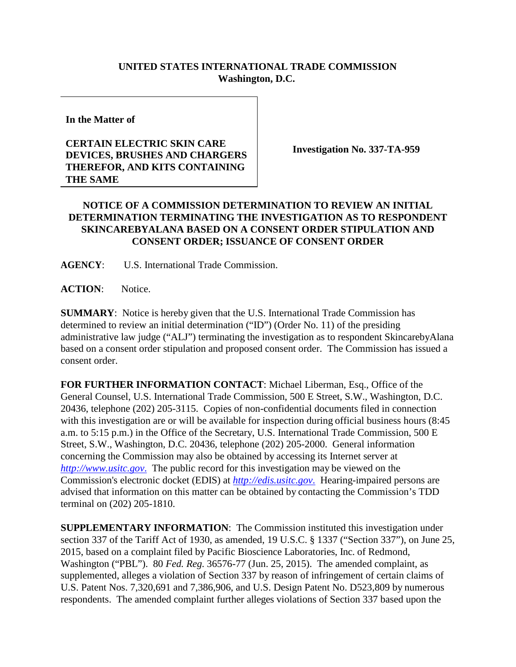## **UNITED STATES INTERNATIONAL TRADE COMMISSION Washington, D.C.**

**In the Matter of**

## **CERTAIN ELECTRIC SKIN CARE DEVICES, BRUSHES AND CHARGERS THEREFOR, AND KITS CONTAINING THE SAME**

**Investigation No. 337-TA-959**

## **NOTICE OF A COMMISSION DETERMINATION TO REVIEW AN INITIAL DETERMINATION TERMINATING THE INVESTIGATION AS TO RESPONDENT SKINCAREBYALANA BASED ON A CONSENT ORDER STIPULATION AND CONSENT ORDER; ISSUANCE OF CONSENT ORDER**

**AGENCY**: U.S. International Trade Commission.

**ACTION**: Notice.

**SUMMARY**: Notice is hereby given that the U.S. International Trade Commission has determined to review an initial determination ("ID") (Order No. 11) of the presiding administrative law judge ("ALJ") terminating the investigation as to respondent SkincarebyAlana based on a consent order stipulation and proposed consent order. The Commission has issued a consent order.

**FOR FURTHER INFORMATION CONTACT**: Michael Liberman, Esq., Office of the General Counsel, U.S. International Trade Commission, 500 E Street, S.W., Washington, D.C. 20436, telephone (202) 205-3115. Copies of non-confidential documents filed in connection with this investigation are or will be available for inspection during official business hours (8:45 a.m. to 5:15 p.m.) in the Office of the Secretary, U.S. International Trade Commission, 500 E Street, S.W., Washington, D.C. 20436, telephone (202) 205-2000. General information concerning the Commission may also be obtained by accessing its Internet server at *[http://www.usitc.gov](http://www.usitc.gov./)*. The public record for this investigation may be viewed on the Commission's electronic docket (EDIS) at *[http://edis.usitc.gov](http://edis.usitc.gov./)*. Hearing-impaired persons are advised that information on this matter can be obtained by contacting the Commission's TDD terminal on (202) 205-1810.

**SUPPLEMENTARY INFORMATION**: The Commission instituted this investigation under section 337 of the Tariff Act of 1930, as amended, 19 U.S.C. § 1337 ("Section 337"), on June 25, 2015, based on a complaint filed by Pacific Bioscience Laboratories, Inc. of Redmond, Washington ("PBL"). 80 *Fed. Reg.* 36576-77 (Jun. 25, 2015). The amended complaint, as supplemented, alleges a violation of Section 337 by reason of infringement of certain claims of U.S. Patent Nos. 7,320,691 and 7,386,906, and U.S. Design Patent No. D523,809 by numerous respondents. The amended complaint further alleges violations of Section 337 based upon the